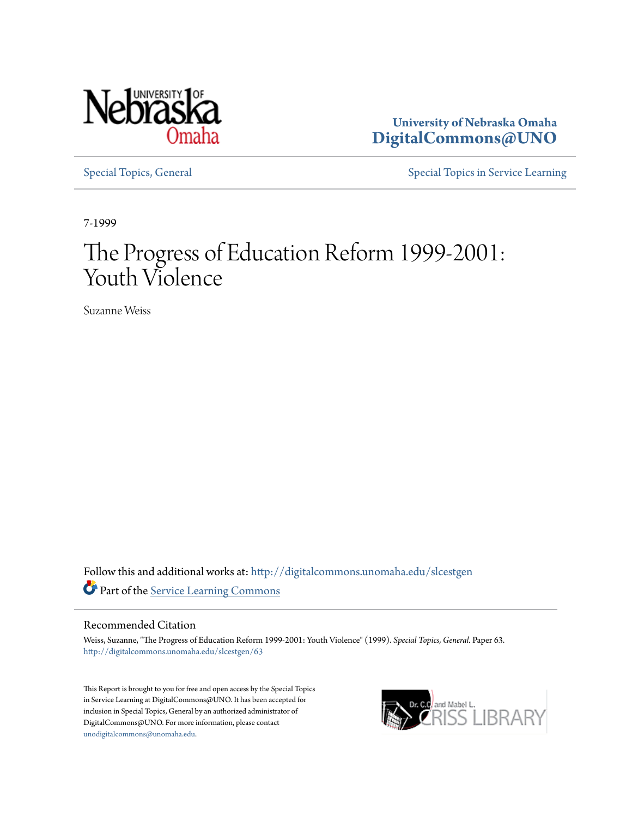

**University of Nebraska Omaha [DigitalCommons@UNO](http://digitalcommons.unomaha.edu?utm_source=digitalcommons.unomaha.edu%2Fslcestgen%2F63&utm_medium=PDF&utm_campaign=PDFCoverPages)**

[Special Topics, General](http://digitalcommons.unomaha.edu/slcestgen?utm_source=digitalcommons.unomaha.edu%2Fslcestgen%2F63&utm_medium=PDF&utm_campaign=PDFCoverPages) [Special Topics in Service Learning](http://digitalcommons.unomaha.edu/slcespecialtopics?utm_source=digitalcommons.unomaha.edu%2Fslcestgen%2F63&utm_medium=PDF&utm_campaign=PDFCoverPages)

7-1999

## The Progress of Education Reform 1999-2001: Youth Violence

Suzanne Weiss

Follow this and additional works at: [http://digitalcommons.unomaha.edu/slcestgen](http://digitalcommons.unomaha.edu/slcestgen?utm_source=digitalcommons.unomaha.edu%2Fslcestgen%2F63&utm_medium=PDF&utm_campaign=PDFCoverPages) Part of the [Service Learning Commons](http://network.bepress.com/hgg/discipline/1024?utm_source=digitalcommons.unomaha.edu%2Fslcestgen%2F63&utm_medium=PDF&utm_campaign=PDFCoverPages)

### Recommended Citation

Weiss, Suzanne, "The Progress of Education Reform 1999-2001: Youth Violence" (1999). *Special Topics, General.* Paper 63. [http://digitalcommons.unomaha.edu/slcestgen/63](http://digitalcommons.unomaha.edu/slcestgen/63?utm_source=digitalcommons.unomaha.edu%2Fslcestgen%2F63&utm_medium=PDF&utm_campaign=PDFCoverPages)

This Report is brought to you for free and open access by the Special Topics in Service Learning at DigitalCommons@UNO. It has been accepted for inclusion in Special Topics, General by an authorized administrator of DigitalCommons@UNO. For more information, please contact [unodigitalcommons@unomaha.edu](mailto:unodigitalcommons@unomaha.edu).

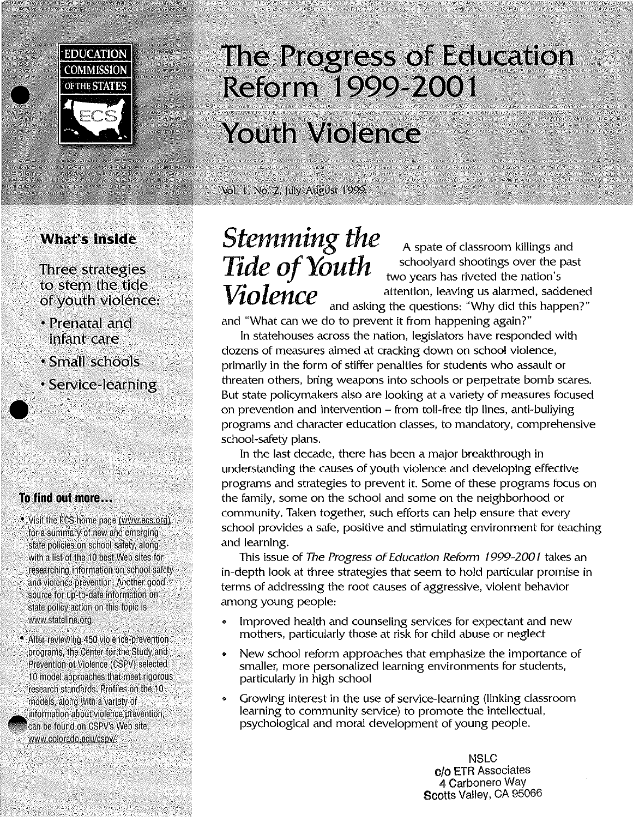

### **What's inside**

**Three strategies** to stem the tide of youth violence:

- Prenatal and infant care
- Small schools
- Service-learning

### To find out more...

- \* Visit the ECS home page (www.ecs.org) for a summary of new and emerging state policies on school safety, along with a list of the 10 best Web sites for researching information on school safety and violence prevention. Another good source for up-to-date information on state policy action on this topic is www.stateline.org.
- After reviewing 450 violence-prevention programs, the Center for the Study and Prevention of Violence (CSPV) selected 10 model approaches that meet rigorous research standards. Profiles on the 10 models, along with a variety of information about violence prevention,  $^{\dagger}$ can be found on CSPV's Web site, www.colorado.edu/cspv/.

## The Progress of Education Reform 1999-2001

## **Youth Violence**

Vol. 1, No. 2, July-August 1999

# **Stemming the** A spate of classroom killings and **Tide of Youth** schoolyard shootings over the past

*LULE UJ LUILII* two years has riveted the nation's **Violence** attention. leaving us alarmed. saddened and asking the questions: "Why did this happen?"

and "What can we do to prevent it from happening again?"

In statehouses across the nation, legislators have responded with dozens of measures aimed at cracking down on school violence, primarily in the form of stiffer penalties for students who assault or threaten others, bring weapons into schools or perpetrate bomb scares. But state policymakers also are looking at a variety of measures focused on prevention and intervention - from toll-free tip lines, anti-bullying programs and character education classes, to mandatory, comprehensive school-safety plans.

In the last decade, there has been a major breakthrough in understanding the causes of youth violence and developing effective programs and strategies to prevent it. Some of these programs focus on the family, some on the school and some on the neighborhood or community. Taken together, such efforts can help ensure that every school provides a safe, positive and stimulating environment for teaching and learning.

This issue of The Progress of Education Reform 1999-2001 takes an in-depth look at three strategies that seem to hold particular promise in terms of addressing the root causes of aggressive, violent behavior among young people:

- Improved health and counseling services for expectant and new mothers, particularly those at risk for child abuse or neglect
- New school reform approaches that emphasize the importance of smaller, more personalized learning environments for students, particularly in high school
- Growing interest in the use of service-learning (linking classroom learning to community service) to promote the intellectual, psychological and moral development of young people.

NSLC c/o ETR Associates 4 Carbonero Way Scotts Valley, CA 95066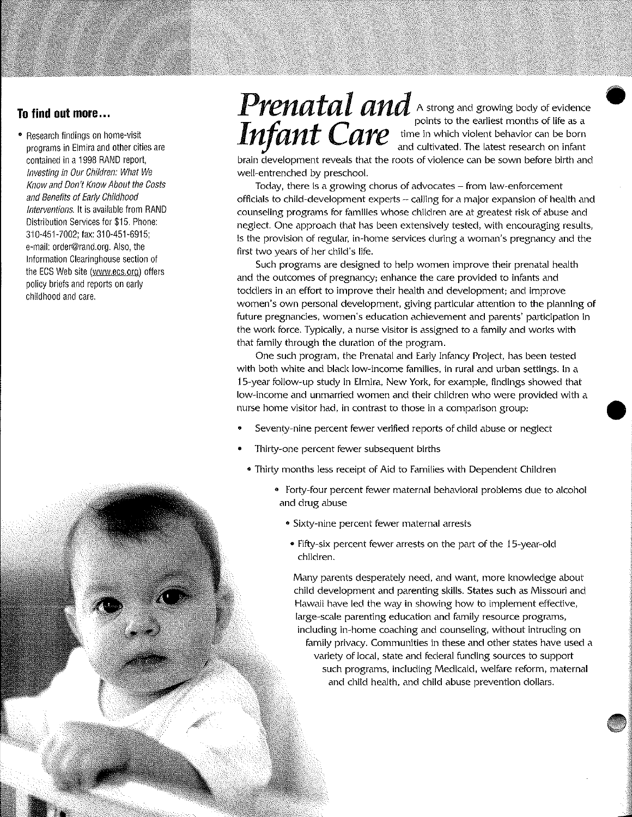### **To find out more ...**

• Research findings on home-visit programs in Elmira and other cities are contained in a 1998 RAND report, Investing in Our Children: What We Know and Don't Know About the Costs and Benefits of Early Childhood Interventions. It is available from RAND Distribution Services for \$15. Phone: 310-451-7002; fax: 310-451-6915; e-mail: order@rand.org. Also, the Information Clearinghouse section of the ECS Web site (www.ecs.org) offers policy briefs and reports on early childhood and care.





**and cultivated. The latest research on infant** 

**brain development reveals that the roots of violence can be sown before birth and**  well-entrenched by preschool.

**Today, there is a growing chorus of advocates- from law-enforcement**  officials to child-development experts  $-$  calling for a major expansion of health and counseling programs for families whose children are at greatest risk of abuse and neglect. One approach that has been extensively tested, with encouraging results, **is the provision of regular, in-home services during a woman's pregnancy and the**  first two years of her child's life.

Such programs are designed to help women improve their prenatal health and the outcomes of pregnancy; enhance the care provided to infants and toddlers in an effort to improve their health and development; and improve **women's own personal development, giving particular attention to the planning of future pregnancies, women's education achievement and parents' participation in**  the work force. Typically, a nurse visitor is assigned to a family and works with that family through the duration of the program.

One such program, the Prenatal and Early Infancy Project, has been tested with both white and black low-income families, in rural and urban settings. In a 15-year follow-up study in Elmira, New York, for example, findings showed that **low-income and unmarried women and their children who were provided with a nurse home visitor had, in contrast to those in a comparison group:** •

- Seventy-nine percent fewer verified reports of child abuse or neglect
- Thirty-one percent fewer subsequent births
- Thirty months less receipt of Aid to Families with Dependent Children
	- Forty-four percent fewer maternal behavioral problems due to alcohol and drug abuse
		- **Sixty-nine percent fewer maternal arrests**
		- Fifty-six percent fewer arrests on the part of the 15-year-old children.

Many parents desperately need, and want, more knowledge about child development and parenting skills. States such as Missouri and **Hawaii have led the way in showing how to implement effective,**  large-scale parenting education and family resource programs, including in-home coaching and counseling, without intruding on family privacy. Communities in these and other states have used a variety of local, state and federal funding sources to support such programs, including Medicaid, welfare reform, maternal and child health, and child abuse prevention dollars.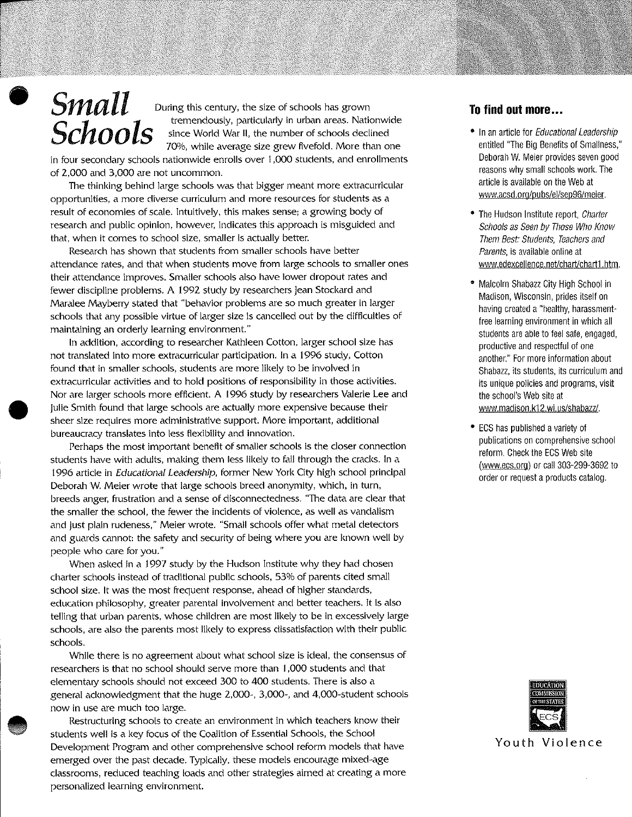## $\bullet$ *Small*

During this century, the size of schools has grown tremendously, particularly in urban areas. Nationwide since World War II, the number of schools declined **Schools**<br>**Schools Schools**<br>**70%**, while average size grew fivefold. More than one

in four secondary schools nationwide enrolls over I ,000 students, and enrollments of 2,000 and 3,000 are not uncommon.

The thinking behind large schools was that bigger meant more extracurricular **opportunities, a more diverse curriculum and more resources for students as a**  result of economies of scale. Intuitively, this makes sense; a growing body of research and public opinion, however, indicates this approach is misguided and that, when it comes to school size, smaller is actually better.

Research has shown that students from smaller schools have better attendance rates, and that when students move from large schools to smaller ones their attendance improves. Smaller schools also have lower dropout rates and fewer discipline problems. A 1992 study by researchers Jean Stockard and Maralee Mayberry stated that "behavior problems are so much greater in larger schools that any possible virtue of larger size is cancelled out by the difficulties of **maintaining an orderly learning environment."** 

 $\begin{array}{c}\n\epsilon \\
\uparrow \\
\uparrow \\
\downarrow \\
\downarrow \\
\downarrow \\
\downarrow \\
\downarrow \\
\downarrow \\
\downarrow\n\end{array}$ In addition, according to researcher Kathleen Cotton, larger school size has not translated into more extracurricular participation. In a 1996 study, Cotton found that in smaller schools, students are more likely to be involved in **extracurricular activities and to hold positions of responsibility in those activities.**  Nor are larger schools more efficient. A 1996 study by researchers Valerie Lee and julie Smith found that large schools are actually more expensive because their **sheer size requires more administrative support. More important, additional bureaucracy translates into less flexibility and innovation.** 

Perhaps the most important benefit of smaller schools is the closer connection students have with adults, making them less likely to fall through the cracks. In a 1996 article in Educational Leadership, former New York City high school principal Deborah W. Meier wrote that large schools breed anonymity, which, in turn, breeds anger, frustration and a sense of disconnectedness. "The data are clear that the smaller the school, the fewer the incidents of violence, as well as vandalism and just plain rudeness," Meier wrote. "Small schools offer what metal detectors and guards cannot: the safety and security of being where you are known well by people who care for you."

When asked in a 1997 study by the Hudson Institute why they had chosen charter schools instead of traditional public schools, 53% of parents cited small school size. It was the most frequent response, ahead of higher standards, education philosophy, greater parental involvement and better teachers. It is also telling that urban parents, whose children are most likely to be in excessively large schools, are also the parents most likely to express dissatisfaction with their public **schools.** 

While there is no agreement about what school size is ideal, the consensus of researchers is that no school should serve more than 1,000 students and that elementary schools should not exceed 300 to 400 students. There is also a general acknowledgment that the huge 2,000-, 3,000-, and 4,000-student schools **now in use are much too large .** 

؛<br>؛<br>؛<br>؛ **Restructuring schools to create an environment in which teachers know their**  students well is a key focus of the Coalition of Essential Schools, the School Development Program and other comprehensive school reform models that have emerged over the past decade. Typically, these models encourage mixed-age classrooms, reduced teaching loads and other strategies aimed at creating a more **personalized learning environment.** 

### **To find out more ...**

- In an article for *Educational Leadership* entitled "The Big Benefits of Smallness," Deborah W. Meier provides seven good reasons why small schools work. The article is available on the Web at www.acsd.org/pubs/el/sep96/meier.
- The Hudson Institute report, Charter Schools as Seen by Those Who Know Them Best: Students, Teachers and Parents, is available online at www.edexcellence.net/chart/chart1.htm.
- Malcolm Shabazz City High School in Madison, Wisconsin, prides itself on having created a "healthy, harassmentfree learning environment in which all students are able to feel safe, engaged, productive and respectful of one another." For more information about Shabazz, its students, its curriculum and its unique policies and programs, visit the school's Web site at www.madison.k12.wi. us/shabazz/.
- ECS has published a variety of publications on comprehensive school reform. Check the ECS Web site (www.ecs.org) or call 303-299-3692 to order or request a products catalog.



Youth Violence